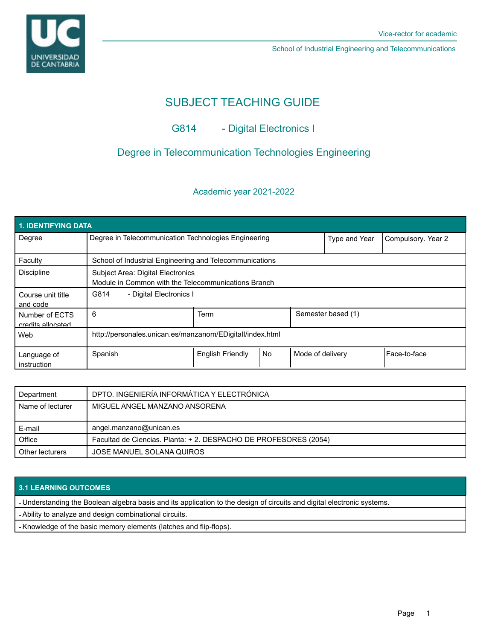

School of Industrial Engineering and Telecommunications

# SUBJECT TEACHING GUIDE

## G814 - Digital Electronics I

## Degree in Telecommunication Technologies Engineering

## Academic year 2021-2022

| <b>1. IDENTIFYING DATA</b>          |                                                                                          |                         |           |                  |                    |              |  |  |  |
|-------------------------------------|------------------------------------------------------------------------------------------|-------------------------|-----------|------------------|--------------------|--------------|--|--|--|
| Degree                              | Degree in Telecommunication Technologies Engineering                                     |                         |           | Type and Year    | Compulsory. Year 2 |              |  |  |  |
| Faculty                             | School of Industrial Engineering and Telecommunications                                  |                         |           |                  |                    |              |  |  |  |
| <b>Discipline</b>                   | Subject Area: Digital Electronics<br>Module in Common with the Telecommunications Branch |                         |           |                  |                    |              |  |  |  |
| Course unit title<br>and code       | G814<br>- Digital Electronics I                                                          |                         |           |                  |                    |              |  |  |  |
| Number of ECTS<br>credits allocated | 6                                                                                        | <b>Term</b>             |           |                  | Semester based (1) |              |  |  |  |
| Web                                 | http://personales.unican.es/manzanom/EDigitall/index.html                                |                         |           |                  |                    |              |  |  |  |
| Language of<br>instruction          | Spanish                                                                                  | <b>English Friendly</b> | <b>No</b> | Mode of delivery |                    | Face-to-face |  |  |  |

| Department       | DPTO. INGENIERÍA INFORMÁTICA Y ELECTRÓNICA                       |  |
|------------------|------------------------------------------------------------------|--|
| Name of lecturer | MIGUEL ANGEL MANZANO ANSORENA                                    |  |
|                  |                                                                  |  |
| E-mail           | angel.manzano@unican.es                                          |  |
| Office           | Facultad de Ciencias. Planta: + 2. DESPACHO DE PROFESORES (2054) |  |
| Other lecturers  | JOSE MANUEL SOLANA QUIROS                                        |  |

## **3.1 LEARNING OUTCOMES**

- Understanding the Boolean algebra basis and its application to the design of circuits and digital electronic systems.

- Ability to analyze and design combinational circuits.

- Knowledge of the basic memory elements (latches and flip-flops).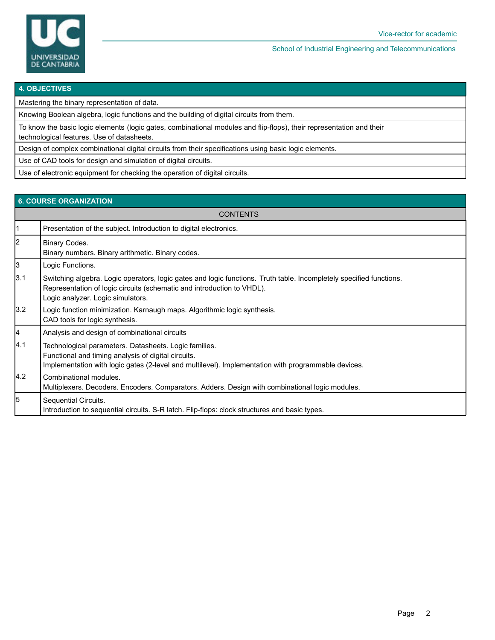

School of Industrial Engineering and Telecommunications

#### **4. OBJECTIVES**

Mastering the binary representation of data.

Knowing Boolean algebra, logic functions and the building of digital circuits from them.

To know the basic logic elements (logic gates, combinational modules and flip-flops), their representation and their

technological features. Use of datasheets.

Design of complex combinational digital circuits from their specifications using basic logic elements.

Use of CAD tools for design and simulation of digital circuits.

Use of electronic equipment for checking the operation of digital circuits.

#### **6. COURSE ORGANIZATION**

|               | <b>CONTENTS</b>                                                                                                                                                                                                                    |  |  |  |  |  |
|---------------|------------------------------------------------------------------------------------------------------------------------------------------------------------------------------------------------------------------------------------|--|--|--|--|--|
| 1             | Presentation of the subject. Introduction to digital electronics.                                                                                                                                                                  |  |  |  |  |  |
| 2             | Binary Codes.<br>Binary numbers. Binary arithmetic. Binary codes.                                                                                                                                                                  |  |  |  |  |  |
| 3             | Logic Functions.                                                                                                                                                                                                                   |  |  |  |  |  |
| 3.1           | Switching algebra. Logic operators, logic gates and logic functions. Truth table. Incompletely specified functions.<br>Representation of logic circuits (schematic and introduction to VHDL).<br>Logic analyzer. Logic simulators. |  |  |  |  |  |
| 3.2           | Logic function minimization. Karnaugh maps. Algorithmic logic synthesis.<br>CAD tools for logic synthesis.                                                                                                                         |  |  |  |  |  |
| <br> 4        | Analysis and design of combinational circuits                                                                                                                                                                                      |  |  |  |  |  |
| 4.1           | Technological parameters. Datasheets. Logic families.<br>Functional and timing analysis of digital circuits.<br>Implementation with logic gates (2-level and multilevel). Implementation with programmable devices.                |  |  |  |  |  |
| $ 4.2\rangle$ | Combinational modules.<br>Multiplexers. Decoders. Encoders. Comparators. Adders. Design with combinational logic modules.                                                                                                          |  |  |  |  |  |
| 5             | Sequential Circuits.<br>Introduction to sequential circuits. S-R latch. Flip-flops: clock structures and basic types.                                                                                                              |  |  |  |  |  |